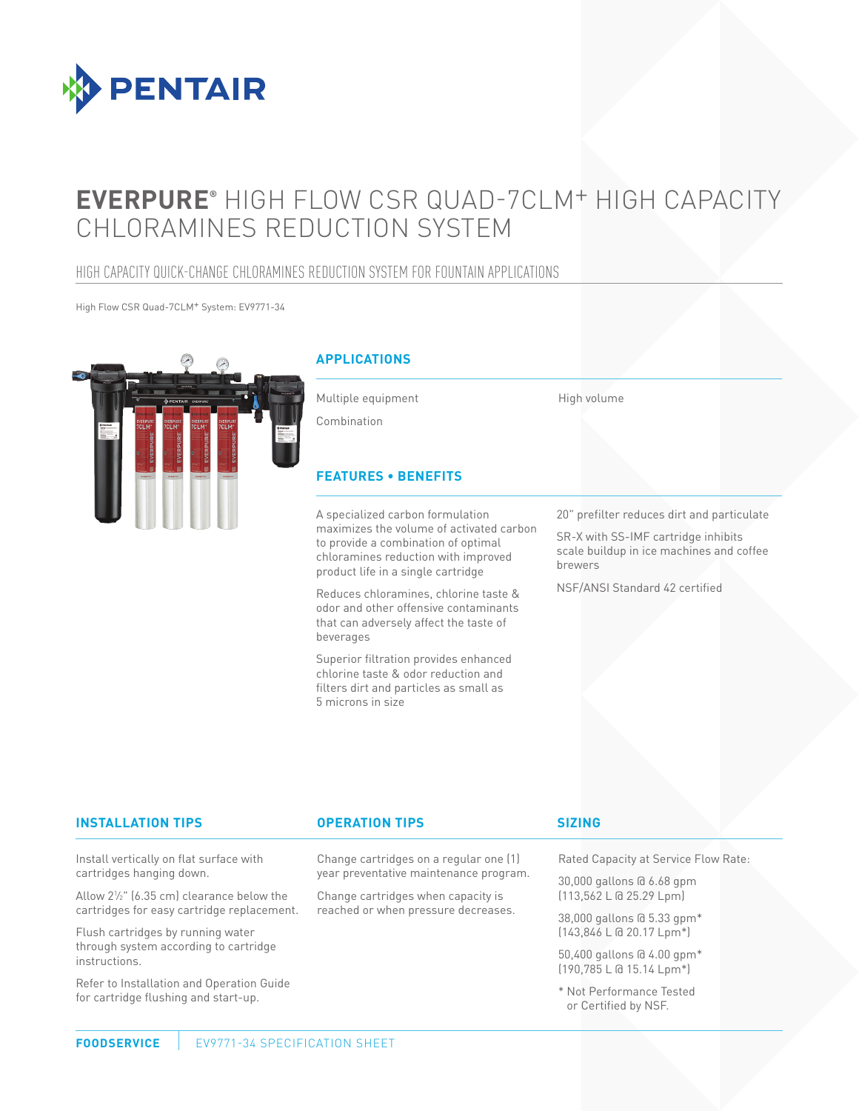

# **EVERPURE®** HIGH FLOW CSR QUAD-7CLM+ HIGH CAPACITY CHLORAMINES REDUCTION SYSTEM

# HIGH CAPACITY QUICK-CHANGE CHLORAMINES REDUCTION SYSTEM FOR FOUNTAIN APPLICATIONS

High Flow CSR Quad-7CLM+ System: EV9771-34



# **APPLICATIONS**

Multiple equipment

to provide a combination of optimal chloramines reduction with improved product life in a single cartridge

Reduces chloramines, chlorine taste & odor and other offensive contaminants that can adversely affect the taste of

Superior filtration provides enhanced chlorine taste & odor reduction and filters dirt and particles as small as

Combination

beverages

5 microns in size

High volume

20" prefilter reduces dirt and particulate

SR-X with SS-IMF cartridge inhibits scale buildup in ice machines and coffee brewers

NSF/ANSI Standard 42 certified

#### **INSTALLATION TIPS OPERATION TIPS**

Install vertically on flat surface with cartridges hanging down.

Allow 21 ⁄2" (6.35 cm) clearance below the cartridges for easy cartridge replacement.

Flush cartridges by running water through system according to cartridge instructions.

Refer to Installation and Operation Guide for cartridge flushing and start-up.

#### Change cartridges on a regular one (1) year preventative maintenance program.

Change cartridges when capacity is reached or when pressure decreases.

#### **SIZING**

Rated Capacity at Service Flow Rate:

30,000 gallons @ 6.68 gpm (113,562 L @ 25.29 Lpm)

38,000 gallons @ 5.33 gpm\* (143,846 L @ 20.17 Lpm\*)

50,400 gallons @ 4.00 gpm\* (190,785 L @ 15.14 Lpm\*)

\* Not Performance Tested or Certified by NSF.